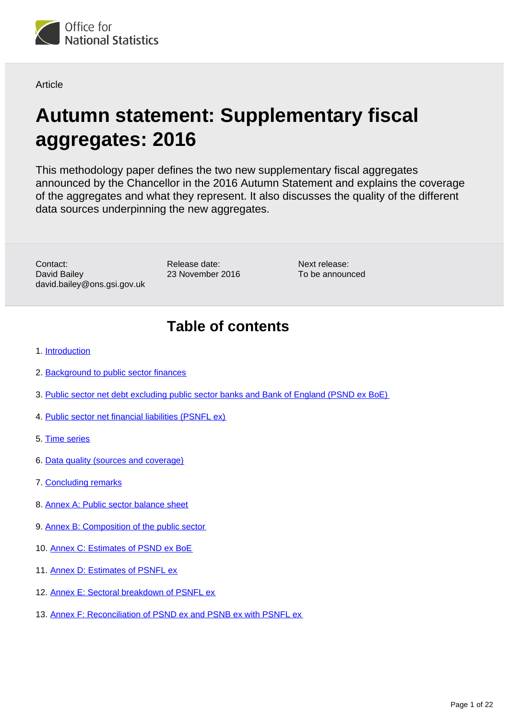

#### Article

# **Autumn statement: Supplementary fiscal aggregates: 2016**

This methodology paper defines the two new supplementary fiscal aggregates announced by the Chancellor in the 2016 Autumn Statement and explains the coverage of the aggregates and what they represent. It also discusses the quality of the different data sources underpinning the new aggregates.

Contact: David Bailey david.bailey@ons.gsi.gov.uk Release date: 23 November 2016

Next release: To be announced

## **Table of contents**

- 1. [Introduction](#page-1-0)
- 2. [Background to public sector finances](#page-1-1)
- 3. [Public sector net debt excluding public sector banks and Bank of England \(PSND ex BoE\)](#page-2-0)
- 4. [Public sector net financial liabilities \(PSNFL ex\)](#page-4-0)
- 5. [Time series](#page-11-0)
- 6. [Data quality \(sources and coverage\)](#page-13-0)
- 7. [Concluding remarks](#page-15-0)
- 8. [Annex A: Public sector balance sheet](#page-15-1)
- 9. [Annex B: Composition of the public sector](#page-16-0)
- 10. [Annex C: Estimates of PSND ex BoE](#page-18-0)
- 11. [Annex D: Estimates of PSNFL ex](#page-19-0)
- 12. [Annex E: Sectoral breakdown of PSNFL ex](#page-20-0)
- 13. [Annex F: Reconciliation of PSND ex and PSNB ex with PSNFL ex](#page-21-0)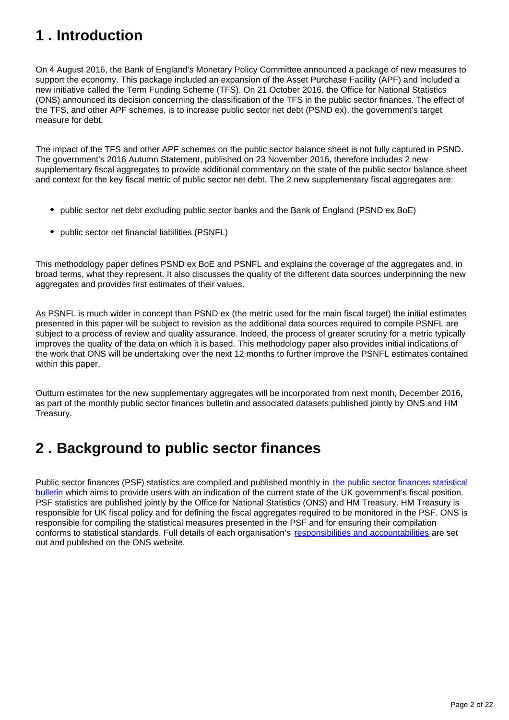## <span id="page-1-0"></span>**1 . Introduction**

On 4 August 2016, the Bank of England's Monetary Policy Committee announced a package of new measures to support the economy. This package included an expansion of the Asset Purchase Facility (APF) and included a new initiative called the Term Funding Scheme (TFS). On 21 October 2016, the Office for National Statistics (ONS) announced its decision concerning the classification of the TFS in the public sector finances. The effect of the TFS, and other APF schemes, is to increase public sector net debt (PSND ex), the government's target measure for debt.

The impact of the TFS and other APF schemes on the public sector balance sheet is not fully captured in PSND. The government's 2016 Autumn Statement, published on 23 November 2016, therefore includes 2 new supplementary fiscal aggregates to provide additional commentary on the state of the public sector balance sheet and context for the key fiscal metric of public sector net debt. The 2 new supplementary fiscal aggregates are:

- public sector net debt excluding public sector banks and the Bank of England (PSND ex BoE)
- public sector net financial liabilities (PSNFL)

This methodology paper defines PSND ex BoE and PSNFL and explains the coverage of the aggregates and, in broad terms, what they represent. It also discusses the quality of the different data sources underpinning the new aggregates and provides first estimates of their values.

As PSNFL is much wider in concept than PSND ex (the metric used for the main fiscal target) the initial estimates presented in this paper will be subject to revision as the additional data sources required to compile PSNFL are subject to a process of review and quality assurance. Indeed, the process of greater scrutiny for a metric typically improves the quality of the data on which it is based. This methodology paper also provides initial indications of the work that ONS will be undertaking over the next 12 months to further improve the PSNFL estimates contained within this paper.

Outturn estimates for the new supplementary aggregates will be incorporated from next month, December 2016, as part of the monthly public sector finances bulletin and associated datasets published jointly by ONS and HM Treasury.

## <span id="page-1-1"></span>**2 . Background to public sector finances**

Public sector finances (PSF) statistics are compiled and published monthly in [the public sector finances statistical](https://www.ons.gov.uk/economy/governmentpublicsectorandtaxes/publicsectorfinance)  [bulletin](https://www.ons.gov.uk/economy/governmentpublicsectorandtaxes/publicsectorfinance) which aims to provide users with an indication of the current state of the UK government's fiscal position. PSF statistics are published jointly by the Office for National Statistics (ONS) and HM Treasury. HM Treasury is responsible for UK fiscal policy and for defining the fiscal aggregates required to be monitored in the PSF. ONS is responsible for compiling the statistical measures presented in the PSF and for ensuring their compilation conforms to statistical standards. Full details of each organisation's [responsibilities and accountabilities](http://webarchive.nationalarchives.gov.uk/20160105160709/http:/www.ons.gov.uk/ons/guide-method/method-quality/specific/economy/public-sector-finances/production-of-the-public-sector-finances-statistical-bulletin--responsibilities-and-accountabilities.pdf) are set out and published on the ONS website.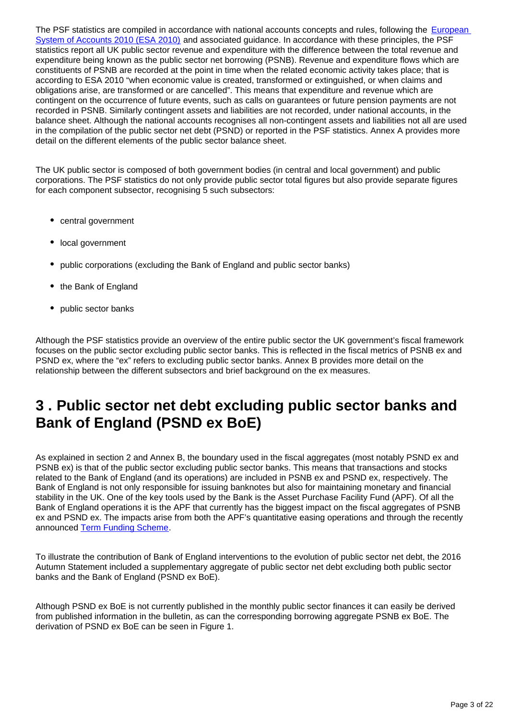The PSF statistics are compiled in accordance with national accounts concepts and rules, following the **European** [System of Accounts 2010 \(ESA 2010\)](http://ec.europa.eu/eurostat/web/esa-2010) and associated guidance. In accordance with these principles, the PSF statistics report all UK public sector revenue and expenditure with the difference between the total revenue and expenditure being known as the public sector net borrowing (PSNB). Revenue and expenditure flows which are constituents of PSNB are recorded at the point in time when the related economic activity takes place; that is according to ESA 2010 "when economic value is created, transformed or extinguished, or when claims and obligations arise, are transformed or are cancelled". This means that expenditure and revenue which are contingent on the occurrence of future events, such as calls on guarantees or future pension payments are not recorded in PSNB. Similarly contingent assets and liabilities are not recorded, under national accounts, in the balance sheet. Although the national accounts recognises all non-contingent assets and liabilities not all are used in the compilation of the public sector net debt (PSND) or reported in the PSF statistics. Annex A provides more detail on the different elements of the public sector balance sheet.

The UK public sector is composed of both government bodies (in central and local government) and public corporations. The PSF statistics do not only provide public sector total figures but also provide separate figures for each component subsector, recognising 5 such subsectors:

- central government
- local government
- public corporations (excluding the Bank of England and public sector banks)
- the Bank of England
- public sector banks

Although the PSF statistics provide an overview of the entire public sector the UK government's fiscal framework focuses on the public sector excluding public sector banks. This is reflected in the fiscal metrics of PSNB ex and PSND ex, where the "ex" refers to excluding public sector banks. Annex B provides more detail on the relationship between the different subsectors and brief background on the ex measures.

## <span id="page-2-0"></span>**3 . Public sector net debt excluding public sector banks and Bank of England (PSND ex BoE)**

As explained in section 2 and Annex B, the boundary used in the fiscal aggregates (most notably PSND ex and PSNB ex) is that of the public sector excluding public sector banks. This means that transactions and stocks related to the Bank of England (and its operations) are included in PSNB ex and PSND ex, respectively. The Bank of England is not only responsible for issuing banknotes but also for maintaining monetary and financial stability in the UK. One of the key tools used by the Bank is the Asset Purchase Facility Fund (APF). Of all the Bank of England operations it is the APF that currently has the biggest impact on the fiscal aggregates of PSNB ex and PSND ex. The impacts arise from both the APF's quantitative easing operations and through the recently announced [Term Funding Scheme.](https://www.ons.gov.uk/releases/statisticalclassificationofthebankofenglandtermfundingschemepartoftheassetpurchasefacility)

To illustrate the contribution of Bank of England interventions to the evolution of public sector net debt, the 2016 Autumn Statement included a supplementary aggregate of public sector net debt excluding both public sector banks and the Bank of England (PSND ex BoE).

Although PSND ex BoE is not currently published in the monthly public sector finances it can easily be derived from published information in the bulletin, as can the corresponding borrowing aggregate PSNB ex BoE. The derivation of PSND ex BoE can be seen in Figure 1.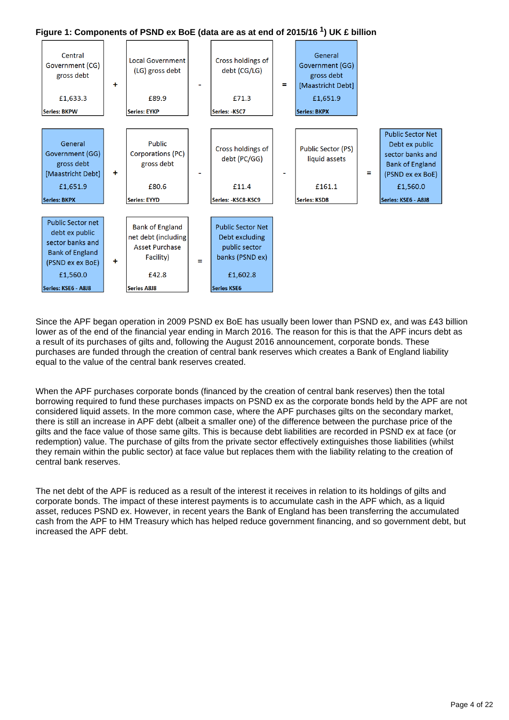



Since the APF began operation in 2009 PSND ex BoE has usually been lower than PSND ex, and was £43 billion lower as of the end of the financial year ending in March 2016. The reason for this is that the APF incurs debt as a result of its purchases of gilts and, following the August 2016 announcement, corporate bonds. These purchases are funded through the creation of central bank reserves which creates a Bank of England liability equal to the value of the central bank reserves created.

When the APF purchases corporate bonds (financed by the creation of central bank reserves) then the total borrowing required to fund these purchases impacts on PSND ex as the corporate bonds held by the APF are not considered liquid assets. In the more common case, where the APF purchases gilts on the secondary market, there is still an increase in APF debt (albeit a smaller one) of the difference between the purchase price of the gilts and the face value of those same gilts. This is because debt liabilities are recorded in PSND ex at face (or redemption) value. The purchase of gilts from the private sector effectively extinguishes those liabilities (whilst they remain within the public sector) at face value but replaces them with the liability relating to the creation of central bank reserves.

The net debt of the APF is reduced as a result of the interest it receives in relation to its holdings of gilts and corporate bonds. The impact of these interest payments is to accumulate cash in the APF which, as a liquid asset, reduces PSND ex. However, in recent years the Bank of England has been transferring the accumulated cash from the APF to HM Treasury which has helped reduce government financing, and so government debt, but increased the APF debt.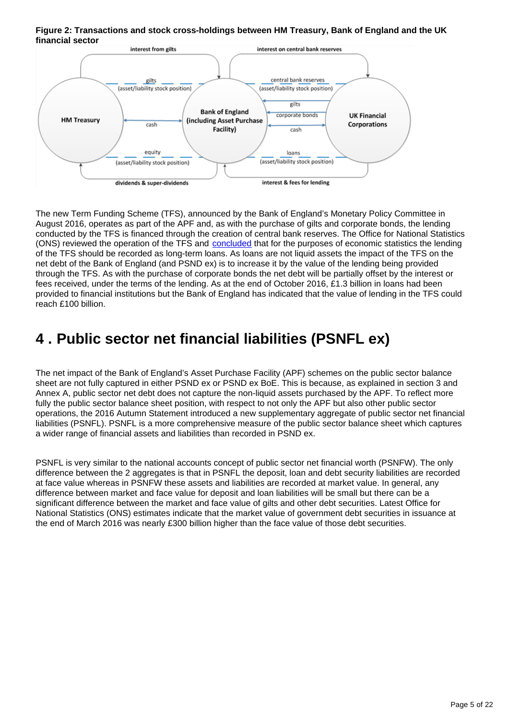#### **Figure 2: Transactions and stock cross-holdings between HM Treasury, Bank of England and the UK financial sector**



The new Term Funding Scheme (TFS), announced by the Bank of England's Monetary Policy Committee in August 2016, operates as part of the APF and, as with the purchase of gilts and corporate bonds, the lending conducted by the TFS is financed through the creation of central bank reserves. The Office for National Statistics (ONS) reviewed the operation of the TFS and [concluded](https://www.ons.gov.uk/releases/statisticalclassificationofthebankofenglandtermfundingschemepartoftheassetpurchasefacility) that for the purposes of economic statistics the lending of the TFS should be recorded as long-term loans. As loans are not liquid assets the impact of the TFS on the net debt of the Bank of England (and PSND ex) is to increase it by the value of the lending being provided through the TFS. As with the purchase of corporate bonds the net debt will be partially offset by the interest or fees received, under the terms of the lending. As at the end of October 2016, £1.3 billion in loans had been provided to financial institutions but the Bank of England has indicated that the value of lending in the TFS could reach £100 billion.

## <span id="page-4-0"></span>**4 . Public sector net financial liabilities (PSNFL ex)**

The net impact of the Bank of England's Asset Purchase Facility (APF) schemes on the public sector balance sheet are not fully captured in either PSND ex or PSND ex BoE. This is because, as explained in section 3 and Annex A, public sector net debt does not capture the non-liquid assets purchased by the APF. To reflect more fully the public sector balance sheet position, with respect to not only the APF but also other public sector operations, the 2016 Autumn Statement introduced a new supplementary aggregate of public sector net financial liabilities (PSNFL). PSNFL is a more comprehensive measure of the public sector balance sheet which captures a wider range of financial assets and liabilities than recorded in PSND ex.

PSNFL is very similar to the national accounts concept of public sector net financial worth (PSNFW). The only difference between the 2 aggregates is that in PSNFL the deposit, loan and debt security liabilities are recorded at face value whereas in PSNFW these assets and liabilities are recorded at market value. In general, any difference between market and face value for deposit and loan liabilities will be small but there can be a significant difference between the market and face value of gilts and other debt securities. Latest Office for National Statistics (ONS) estimates indicate that the market value of government debt securities in issuance at the end of March 2016 was nearly £300 billion higher than the face value of those debt securities.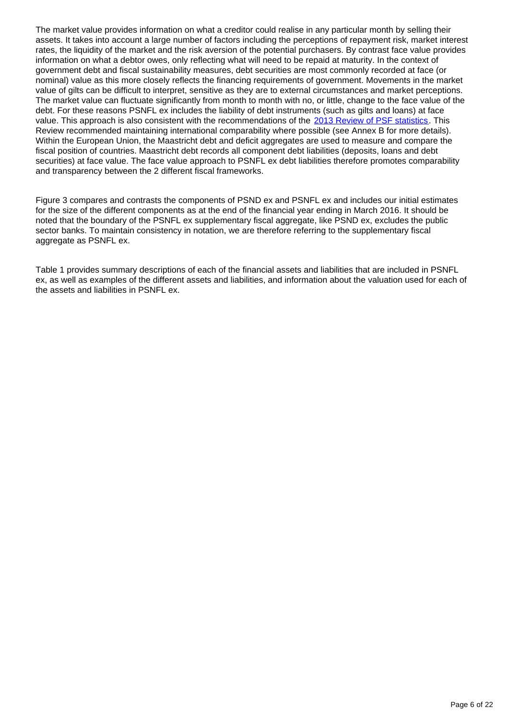The market value provides information on what a creditor could realise in any particular month by selling their assets. It takes into account a large number of factors including the perceptions of repayment risk, market interest rates, the liquidity of the market and the risk aversion of the potential purchasers. By contrast face value provides information on what a debtor owes, only reflecting what will need to be repaid at maturity. In the context of government debt and fiscal sustainability measures, debt securities are most commonly recorded at face (or nominal) value as this more closely reflects the financing requirements of government. Movements in the market value of gilts can be difficult to interpret, sensitive as they are to external circumstances and market perceptions. The market value can fluctuate significantly from month to month with no, or little, change to the face value of the debt. For these reasons PSNFL ex includes the liability of debt instruments (such as gilts and loans) at face value. This approach is also consistent with the recommendations of the [2013 Review of PSF statistics.](http://webarchive.nationalarchives.gov.uk/20160105160709/http:/www.ons.gov.uk/ons/about-ons/get-involved/consultations-and-user-surveys/consultations/consultation-on-proposals-from-the-review-of-public-sector-finance-statistics/index.html) This Review recommended maintaining international comparability where possible (see Annex B for more details). Within the European Union, the Maastricht debt and deficit aggregates are used to measure and compare the fiscal position of countries. Maastricht debt records all component debt liabilities (deposits, loans and debt securities) at face value. The face value approach to PSNFL ex debt liabilities therefore promotes comparability and transparency between the 2 different fiscal frameworks.

Figure 3 compares and contrasts the components of PSND ex and PSNFL ex and includes our initial estimates for the size of the different components as at the end of the financial year ending in March 2016. It should be noted that the boundary of the PSNFL ex supplementary fiscal aggregate, like PSND ex, excludes the public sector banks. To maintain consistency in notation, we are therefore referring to the supplementary fiscal aggregate as PSNFL ex.

Table 1 provides summary descriptions of each of the financial assets and liabilities that are included in PSNFL ex, as well as examples of the different assets and liabilities, and information about the valuation used for each of the assets and liabilities in PSNFL ex.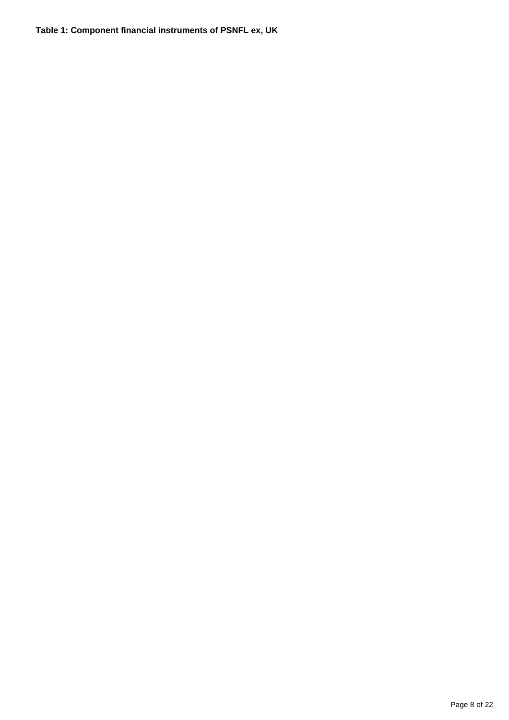### **Table 1: Component financial instruments of PSNFL ex, UK**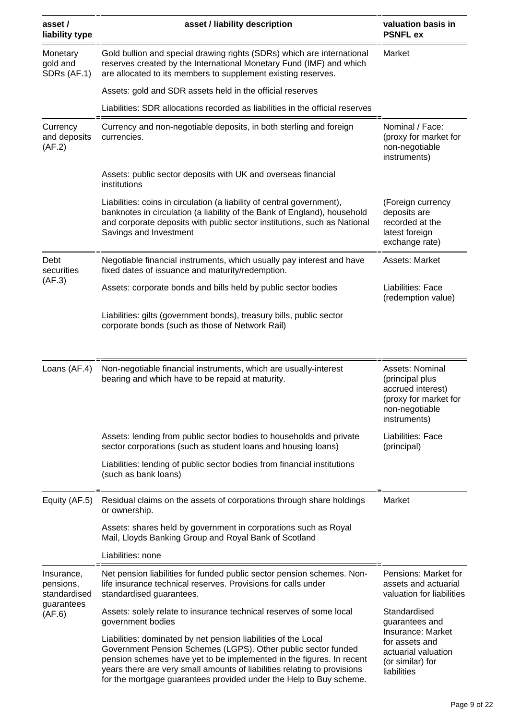| asset /<br>liability type                                       | asset / liability description                                                                                                                                                                                                                                                                                                                             | valuation basis in<br><b>PSNFL ex</b>                                                                                           |  |
|-----------------------------------------------------------------|-----------------------------------------------------------------------------------------------------------------------------------------------------------------------------------------------------------------------------------------------------------------------------------------------------------------------------------------------------------|---------------------------------------------------------------------------------------------------------------------------------|--|
| Monetary<br>gold and<br>SDRs (AF.1)                             | Gold bullion and special drawing rights (SDRs) which are international<br>reserves created by the International Monetary Fund (IMF) and which<br>are allocated to its members to supplement existing reserves.                                                                                                                                            | Market                                                                                                                          |  |
|                                                                 | Assets: gold and SDR assets held in the official reserves                                                                                                                                                                                                                                                                                                 |                                                                                                                                 |  |
|                                                                 | Liabilities: SDR allocations recorded as liabilities in the official reserves                                                                                                                                                                                                                                                                             |                                                                                                                                 |  |
| Currency<br>and deposits<br>(AF.2)                              | Currency and non-negotiable deposits, in both sterling and foreign<br>currencies.                                                                                                                                                                                                                                                                         | Nominal / Face:<br>(proxy for market for<br>non-negotiable<br>instruments)                                                      |  |
|                                                                 | Assets: public sector deposits with UK and overseas financial<br>institutions                                                                                                                                                                                                                                                                             |                                                                                                                                 |  |
|                                                                 | Liabilities: coins in circulation (a liability of central government),<br>banknotes in circulation (a liability of the Bank of England), household<br>and corporate deposits with public sector institutions, such as National<br>Savings and Investment                                                                                                  | (Foreign currency<br>deposits are<br>recorded at the<br>latest foreign<br>exchange rate)                                        |  |
| Debt<br>securities<br>(AF.3)                                    | Negotiable financial instruments, which usually pay interest and have<br>fixed dates of issuance and maturity/redemption.                                                                                                                                                                                                                                 | Assets: Market                                                                                                                  |  |
|                                                                 | Assets: corporate bonds and bills held by public sector bodies                                                                                                                                                                                                                                                                                            | Liabilities: Face<br>(redemption value)                                                                                         |  |
|                                                                 | Liabilities: gilts (government bonds), treasury bills, public sector<br>corporate bonds (such as those of Network Rail)                                                                                                                                                                                                                                   |                                                                                                                                 |  |
|                                                                 |                                                                                                                                                                                                                                                                                                                                                           |                                                                                                                                 |  |
| Loans (AF.4)                                                    | Non-negotiable financial instruments, which are usually-interest<br>bearing and which have to be repaid at maturity.                                                                                                                                                                                                                                      | Assets: Nominal<br>(principal plus<br>accrued interest)<br>(proxy for market for<br>non-negotiable<br>instruments)              |  |
|                                                                 | Assets: lending from public sector bodies to households and private<br>sector corporations (such as student loans and housing loans)                                                                                                                                                                                                                      | Liabilities: Face<br>(principal)                                                                                                |  |
|                                                                 | Liabilities: lending of public sector bodies from financial institutions<br>(such as bank loans)                                                                                                                                                                                                                                                          |                                                                                                                                 |  |
| Equity (AF.5)                                                   | Residual claims on the assets of corporations through share holdings<br>or ownership.                                                                                                                                                                                                                                                                     | Market                                                                                                                          |  |
|                                                                 | Assets: shares held by government in corporations such as Royal<br>Mail, Lloyds Banking Group and Royal Bank of Scotland                                                                                                                                                                                                                                  |                                                                                                                                 |  |
|                                                                 | Liabilities: none                                                                                                                                                                                                                                                                                                                                         |                                                                                                                                 |  |
| Insurance,<br>pensions,<br>standardised<br>guarantees<br>(AF.6) | Net pension liabilities for funded public sector pension schemes. Non-<br>life insurance technical reserves. Provisions for calls under<br>standardised guarantees.                                                                                                                                                                                       | Pensions: Market for<br>assets and actuarial<br>valuation for liabilities                                                       |  |
|                                                                 | Assets: solely relate to insurance technical reserves of some local<br>government bodies                                                                                                                                                                                                                                                                  | Standardised<br>guarantees and<br>Insurance: Market<br>for assets and<br>actuarial valuation<br>(or similar) for<br>liabilities |  |
|                                                                 | Liabilities: dominated by net pension liabilities of the Local<br>Government Pension Schemes (LGPS). Other public sector funded<br>pension schemes have yet to be implemented in the figures. In recent<br>years there are very small amounts of liabilities relating to provisions<br>for the mortgage guarantees provided under the Help to Buy scheme. |                                                                                                                                 |  |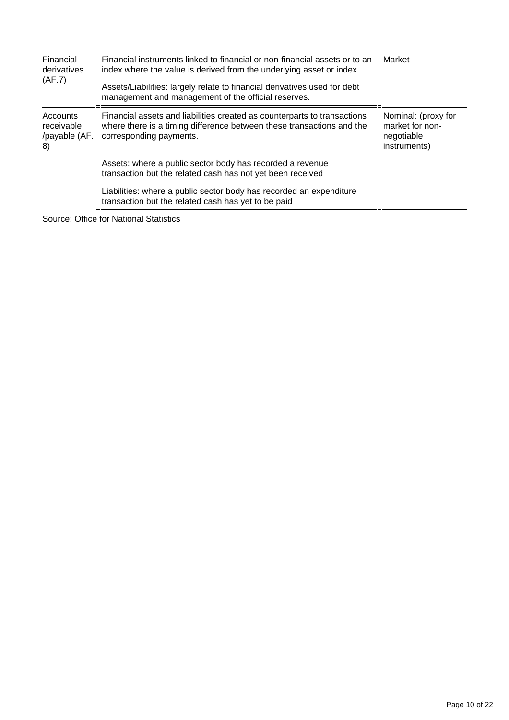| Financial<br>derivatives<br>(AF.7)            | Financial instruments linked to financial or non-financial assets or to an<br>index where the value is derived from the underlying asset or index.                           | Market                                                               |  |
|-----------------------------------------------|------------------------------------------------------------------------------------------------------------------------------------------------------------------------------|----------------------------------------------------------------------|--|
|                                               | Assets/Liabilities: largely relate to financial derivatives used for debt<br>management and management of the official reserves.                                             |                                                                      |  |
| Accounts<br>receivable<br>/payable (AF.<br>8) | Financial assets and liabilities created as counterparts to transactions<br>where there is a timing difference between these transactions and the<br>corresponding payments. | Nominal: (proxy for<br>market for non-<br>negotiable<br>instruments) |  |
|                                               | Assets: where a public sector body has recorded a revenue<br>transaction but the related cash has not yet been received                                                      |                                                                      |  |
|                                               | Liabilities: where a public sector body has recorded an expenditure<br>transaction but the related cash has yet to be paid                                                   |                                                                      |  |

Source: Office for National Statistics

 $\equiv$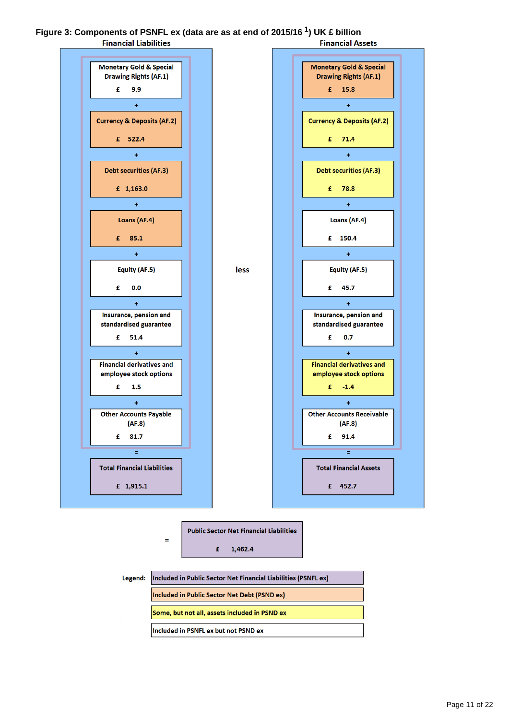#### **Figure 3: Components of PSNFL ex (data are as at end of 2015/16 ) UK £ billion <sup>1</sup>Financial Liabilities Financial Assets**







 $\equiv$ 

Included in Public Sector Net Financial Liabilities (PSNFL ex) **Included in Public Sector Net Debt (PSND ex)** Some, but not all, assets included in PSND ex Included in PSNFL ex but not PSND ex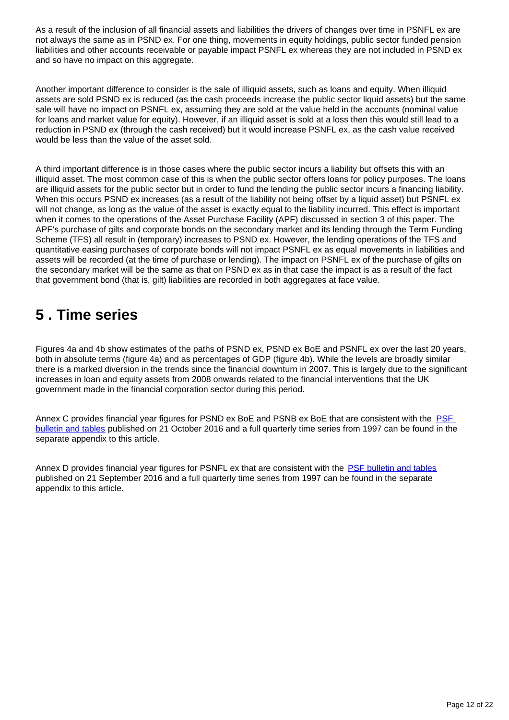As a result of the inclusion of all financial assets and liabilities the drivers of changes over time in PSNFL ex are not always the same as in PSND ex. For one thing, movements in equity holdings, public sector funded pension liabilities and other accounts receivable or payable impact PSNFL ex whereas they are not included in PSND ex and so have no impact on this aggregate.

Another important difference to consider is the sale of illiquid assets, such as loans and equity. When illiquid assets are sold PSND ex is reduced (as the cash proceeds increase the public sector liquid assets) but the same sale will have no impact on PSNFL ex, assuming they are sold at the value held in the accounts (nominal value for loans and market value for equity). However, if an illiquid asset is sold at a loss then this would still lead to a reduction in PSND ex (through the cash received) but it would increase PSNFL ex, as the cash value received would be less than the value of the asset sold.

A third important difference is in those cases where the public sector incurs a liability but offsets this with an illiquid asset. The most common case of this is when the public sector offers loans for policy purposes. The loans are illiquid assets for the public sector but in order to fund the lending the public sector incurs a financing liability. When this occurs PSND ex increases (as a result of the liability not being offset by a liquid asset) but PSNFL ex will not change, as long as the value of the asset is exactly equal to the liability incurred. This effect is important when it comes to the operations of the Asset Purchase Facility (APF) discussed in section 3 of this paper. The APF's purchase of gilts and corporate bonds on the secondary market and its lending through the Term Funding Scheme (TFS) all result in (temporary) increases to PSND ex. However, the lending operations of the TFS and quantitative easing purchases of corporate bonds will not impact PSNFL ex as equal movements in liabilities and assets will be recorded (at the time of purchase or lending). The impact on PSNFL ex of the purchase of gilts on the secondary market will be the same as that on PSND ex as in that case the impact is as a result of the fact that government bond (that is, gilt) liabilities are recorded in both aggregates at face value.

## <span id="page-11-0"></span>**5 . Time series**

Figures 4a and 4b show estimates of the paths of PSND ex, PSND ex BoE and PSNFL ex over the last 20 years, both in absolute terms (figure 4a) and as percentages of GDP (figure 4b). While the levels are broadly similar there is a marked diversion in the trends since the financial downturn in 2007. This is largely due to the significant increases in loan and equity assets from 2008 onwards related to the financial interventions that the UK government made in the financial corporation sector during this period.

Annex C provides financial year figures for PSND ex BoE and PSNB ex BoE that are consistent with the PSF [bulletin and tables](https://www.ons.gov.uk/economy/governmentpublicsectorandtaxes/publicsectorfinance/bulletins/publicsectorfinances/sept2016) published on 21 October 2016 and a full quarterly time series from 1997 can be found in the separate appendix to this article.

Annex D provides financial year figures for PSNFL ex that are consistent with the [PSF bulletin and tables](https://www.ons.gov.uk/economy/governmentpublicsectorandtaxes/publicsectorfinance/bulletins/publicsectorfinances/aug2016) published on 21 September 2016 and a full quarterly time series from 1997 can be found in the separate appendix to this article.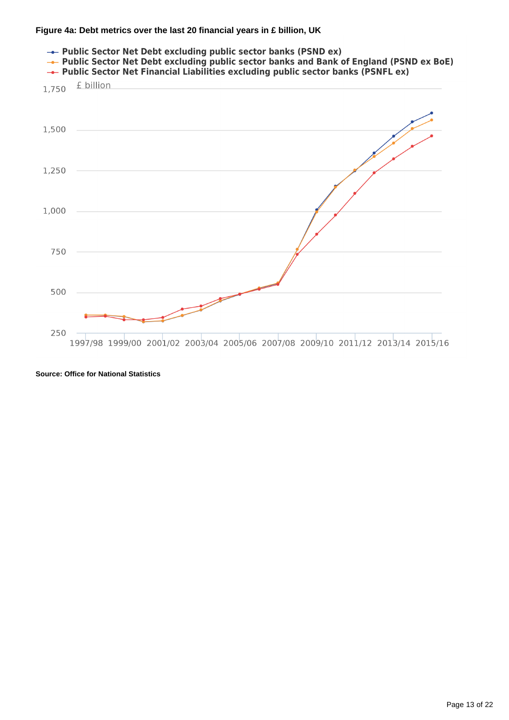#### **Figure 4a: Debt metrics over the last 20 financial years in £ billion, UK**



**Source: Office for National Statistics**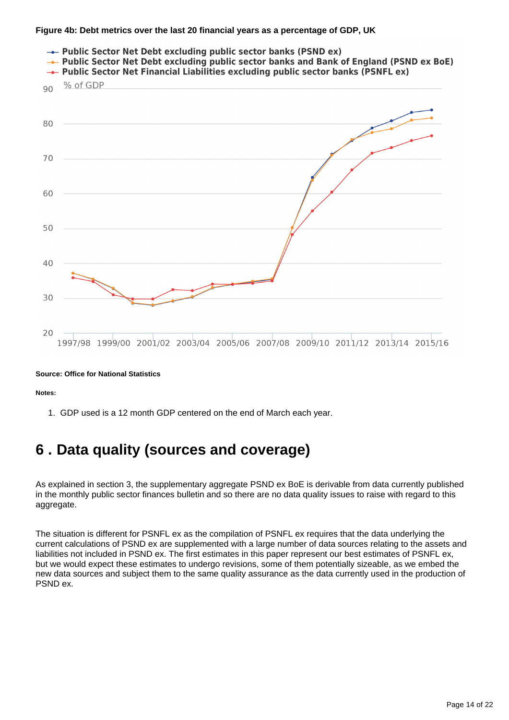#### **Figure 4b: Debt metrics over the last 20 financial years as a percentage of GDP, UK**



#### **Source: Office for National Statistics**

**Notes:**

1. GDP used is a 12 month GDP centered on the end of March each year.

## <span id="page-13-0"></span>**6 . Data quality (sources and coverage)**

As explained in section 3, the supplementary aggregate PSND ex BoE is derivable from data currently published in the monthly public sector finances bulletin and so there are no data quality issues to raise with regard to this aggregate.

The situation is different for PSNFL ex as the compilation of PSNFL ex requires that the data underlying the current calculations of PSND ex are supplemented with a large number of data sources relating to the assets and liabilities not included in PSND ex. The first estimates in this paper represent our best estimates of PSNFL ex, but we would expect these estimates to undergo revisions, some of them potentially sizeable, as we embed the new data sources and subject them to the same quality assurance as the data currently used in the production of PSND ex.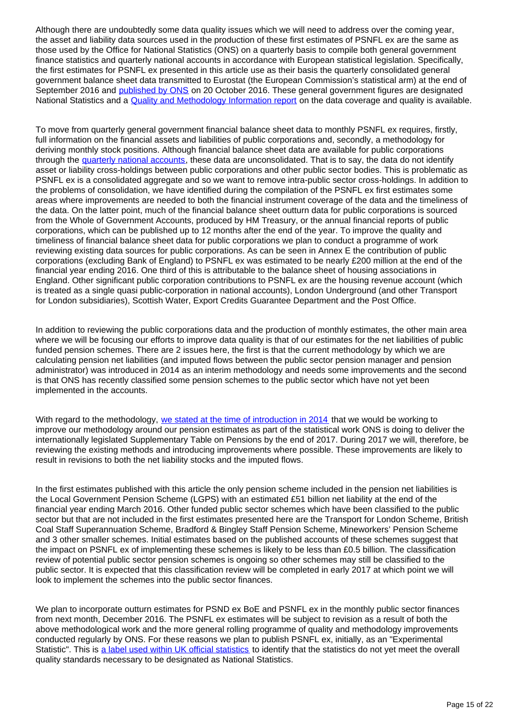Although there are undoubtedly some data quality issues which we will need to address over the coming year, the asset and liability data sources used in the production of these first estimates of PSNFL ex are the same as those used by the Office for National Statistics (ONS) on a quarterly basis to compile both general government finance statistics and quarterly national accounts in accordance with European statistical legislation. Specifically, the first estimates for PSNFL ex presented in this article use as their basis the quarterly consolidated general government balance sheet data transmitted to Eurostat (the European Commission's statistical arm) at the end of September 2016 and [published by ONS](https://www.ons.gov.uk/economy/governmentpublicsectorandtaxes/publicspending/bulletins/ukgovernmentdebtanddeficitforeurostatmaast/aprtojune2016) on 20 October 2016. These general government figures are designated National Statistics and a [Quality and Methodology Information report](https://www.ons.gov.uk/economy/governmentpublicsectorandtaxes/publicsectorfinance/qmis/publicsectorfinancesandgovernmentdeficitanddebtunderthemaastrichttreatyqmi) on the data coverage and quality is available.

To move from quarterly general government financial balance sheet data to monthly PSNFL ex requires, firstly, full information on the financial assets and liabilities of public corporations and, secondly, a methodology for deriving monthly stock positions. Although financial balance sheet data are available for public corporations through the [quarterly national accounts,](http://www.ons.gov.uk/economy/grossdomesticproductgdp/bulletins/quarterlynationalaccounts/quarter2aprtojune2016) these data are unconsolidated. That is to say, the data do not identify asset or liability cross-holdings between public corporations and other public sector bodies. This is problematic as PSNFL ex is a consolidated aggregate and so we want to remove intra-public sector cross-holdings. In addition to the problems of consolidation, we have identified during the compilation of the PSNFL ex first estimates some areas where improvements are needed to both the financial instrument coverage of the data and the timeliness of the data. On the latter point, much of the financial balance sheet outturn data for public corporations is sourced from the Whole of Government Accounts, produced by HM Treasury, or the annual financial reports of public corporations, which can be published up to 12 months after the end of the year. To improve the quality and timeliness of financial balance sheet data for public corporations we plan to conduct a programme of work reviewing existing data sources for public corporations. As can be seen in Annex E the contribution of public corporations (excluding Bank of England) to PSNFL ex was estimated to be nearly £200 million at the end of the financial year ending 2016. One third of this is attributable to the balance sheet of housing associations in England. Other significant public corporation contributions to PSNFL ex are the housing revenue account (which is treated as a single quasi public-corporation in national accounts), London Underground (and other Transport for London subsidiaries), Scottish Water, Export Credits Guarantee Department and the Post Office.

In addition to reviewing the public corporations data and the production of monthly estimates, the other main area where we will be focusing our efforts to improve data quality is that of our estimates for the net liabilities of public funded pension schemes. There are 2 issues here, the first is that the current methodology by which we are calculating pension net liabilities (and imputed flows between the public sector pension manager and pension administrator) was introduced in 2014 as an interim methodology and needs some improvements and the second is that ONS has recently classified some pension schemes to the public sector which have not yet been implemented in the accounts.

With regard to the methodology, [we stated at the time of introduction in 2014](http://webarchive.nationalarchives.gov.uk/20160105160709/http:/www.ons.gov.uk/ons/rel/naa1-rd/national-accounts-articles/detailed-explanation-of-the-impact-of-the-changes-to-the-treatment-of-pensions-in-the-national-accounts/index.html) that we would be working to improve our methodology around our pension estimates as part of the statistical work ONS is doing to deliver the internationally legislated Supplementary Table on Pensions by the end of 2017. During 2017 we will, therefore, be reviewing the existing methods and introducing improvements where possible. These improvements are likely to result in revisions to both the net liability stocks and the imputed flows.

In the first estimates published with this article the only pension scheme included in the pension net liabilities is the Local Government Pension Scheme (LGPS) with an estimated £51 billion net liability at the end of the financial year ending March 2016. Other funded public sector schemes which have been classified to the public sector but that are not included in the first estimates presented here are the Transport for London Scheme, British Coal Staff Superannuation Scheme, Bradford & Bingley Staff Pension Scheme, Mineworkers' Pension Scheme and 3 other smaller schemes. Initial estimates based on the published accounts of these schemes suggest that the impact on PSNFL ex of implementing these schemes is likely to be less than £0.5 billion. The classification review of potential public sector pension schemes is ongoing so other schemes may still be classified to the public sector. It is expected that this classification review will be completed in early 2017 at which point we will look to implement the schemes into the public sector finances.

We plan to incorporate outturn estimates for PSND ex BoE and PSNFL ex in the monthly public sector finances from next month, December 2016. The PSNFL ex estimates will be subject to revision as a result of both the above methodological work and the more general rolling programme of quality and methodology improvements conducted regularly by ONS. For these reasons we plan to publish PSNFL ex, initially, as an "Experimental Statistic". This is [a label used within UK official statistics](https://www.statisticsauthority.gov.uk/gsspolicy/guidance-on-experimental-statistics/) to identify that the statistics do not yet meet the overall quality standards necessary to be designated as National Statistics.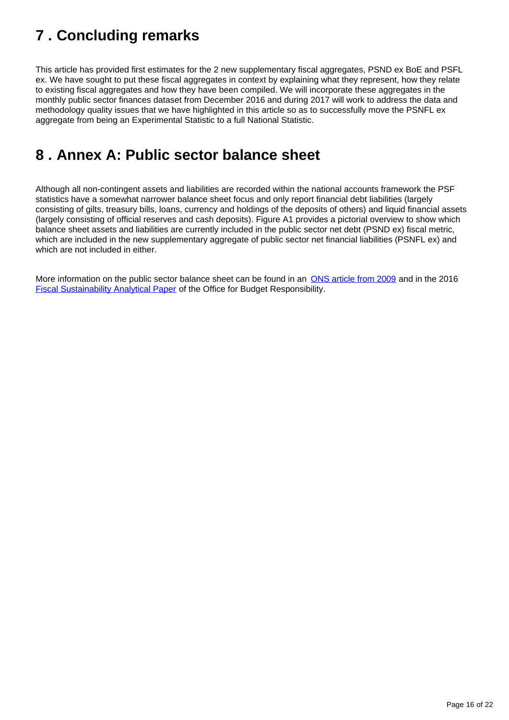# <span id="page-15-0"></span>**7 . Concluding remarks**

This article has provided first estimates for the 2 new supplementary fiscal aggregates, PSND ex BoE and PSFL ex. We have sought to put these fiscal aggregates in context by explaining what they represent, how they relate to existing fiscal aggregates and how they have been compiled. We will incorporate these aggregates in the monthly public sector finances dataset from December 2016 and during 2017 will work to address the data and methodology quality issues that we have highlighted in this article so as to successfully move the PSNFL ex aggregate from being an Experimental Statistic to a full National Statistic.

## <span id="page-15-1"></span>**8 . Annex A: Public sector balance sheet**

Although all non-contingent assets and liabilities are recorded within the national accounts framework the PSF statistics have a somewhat narrower balance sheet focus and only report financial debt liabilities (largely consisting of gilts, treasury bills, loans, currency and holdings of the deposits of others) and liquid financial assets (largely consisting of official reserves and cash deposits). Figure A1 provides a pictorial overview to show which balance sheet assets and liabilities are currently included in the public sector net debt (PSND ex) fiscal metric, which are included in the new supplementary aggregate of public sector net financial liabilities (PSNFL ex) and which are not included in either.

More information on the public sector balance sheet can be found in an **ONS** article from 2009 and in the 2016 [Fiscal Sustainability Analytical Paper](http://budgetresponsibility.org.uk/download/fiscal-sustainability-analytical-paper-public-sector-balance-sheet/) of the Office for Budget Responsibility.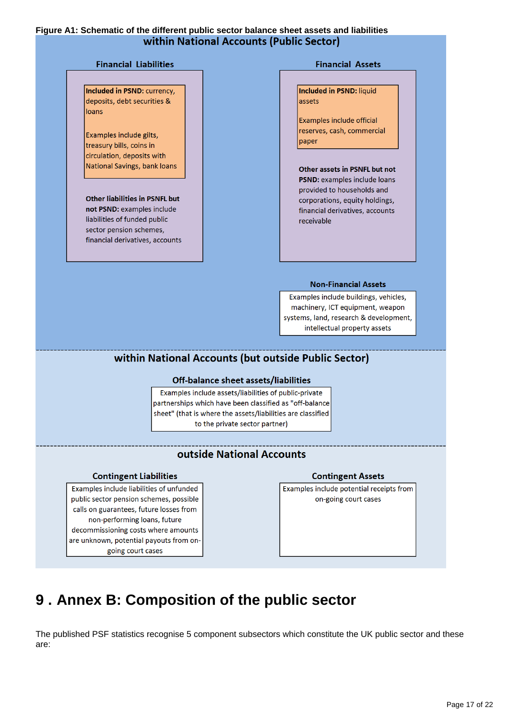#### **Figure A1: Schematic of the different public sector balance sheet assets and liabilities** within National Accounts (Public Sector)

#### **Financial Liabilities**

Included in PSND: currency, deposits, debt securities & loans

Examples include gilts, treasury bills, coins in circulation, deposits with National Savings, bank loans

**Other liabilities in PSNFL but** not PSND: examples include liabilities of funded public sector pension schemes, financial derivatives, accounts

#### **Financial Assets**

Included in PSND: liquid assets

Examples include official reserves, cash, commercial paper

Other assets in PSNFL but not PSND: examples include loans provided to households and corporations, equity holdings, financial derivatives, accounts receivable

#### **Non-Financial Assets**

Examples include buildings, vehicles, machinery, ICT equipment, weapon systems, land, research & development, intellectual property assets

### within National Accounts (but outside Public Sector)

#### Off-balance sheet assets/liabilities

Examples include assets/liabilities of public-private partnerships which have been classified as "off-balance sheet" (that is where the assets/liabilities are classified to the private sector partner)

### **outside National Accounts**

#### **Contingent Liabilities**

Examples include liabilities of unfunded public sector pension schemes, possible calls on guarantees, future losses from non-performing loans, future decommissioning costs where amounts are unknown, potential payouts from ongoing court cases

#### **Contingent Assets**

Examples include potential receipts from on-going court cases

# <span id="page-16-0"></span>**9 . Annex B: Composition of the public sector**

The published PSF statistics recognise 5 component subsectors which constitute the UK public sector and these are: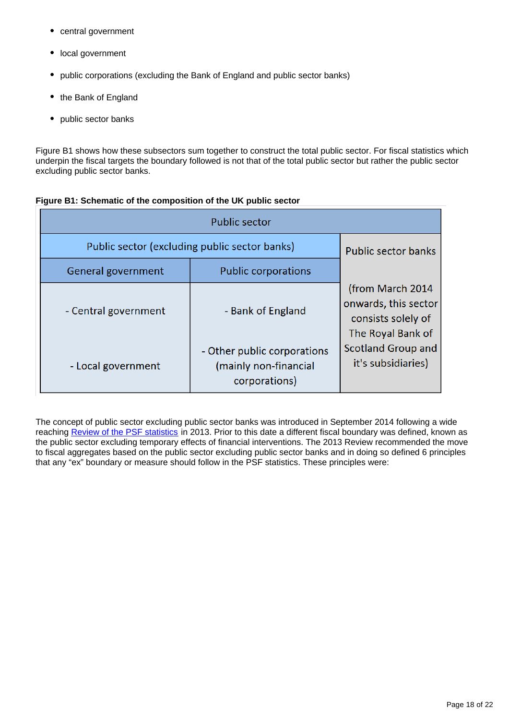- central government
- local government
- public corporations (excluding the Bank of England and public sector banks)
- the Bank of England
- public sector banks

Figure B1 shows how these subsectors sum together to construct the total public sector. For fiscal statistics which underpin the fiscal targets the boundary followed is not that of the total public sector but rather the public sector excluding public sector banks.

| <b>Public sector</b>                          |                                                                       |                                                                                      |  |  |  |  |
|-----------------------------------------------|-----------------------------------------------------------------------|--------------------------------------------------------------------------------------|--|--|--|--|
| Public sector (excluding public sector banks) | <b>Public sector banks</b>                                            |                                                                                      |  |  |  |  |
| General government                            | <b>Public corporations</b>                                            |                                                                                      |  |  |  |  |
| - Central government                          | - Bank of England                                                     | (from March 2014)<br>onwards, this sector<br>consists solely of<br>The Royal Bank of |  |  |  |  |
| - Local government                            | - Other public corporations<br>(mainly non-financial<br>corporations) | Scotland Group and<br>it's subsidiaries)                                             |  |  |  |  |

#### **Figure B1: Schematic of the composition of the UK public sector**

The concept of public sector excluding public sector banks was introduced in September 2014 following a wide reaching [Review of the PSF statistics](http://webarchive.nationalarchives.gov.uk/20160105160709/http:/www.ons.gov.uk/ons/about-ons/get-involved/consultations-and-user-surveys/consultations/consultation-on-proposals-from-the-review-of-public-sector-finance-statistics/index.html) in 2013. Prior to this date a different fiscal boundary was defined, known as the public sector excluding temporary effects of financial interventions. The 2013 Review recommended the move to fiscal aggregates based on the public sector excluding public sector banks and in doing so defined 6 principles that any "ex" boundary or measure should follow in the PSF statistics. These principles were: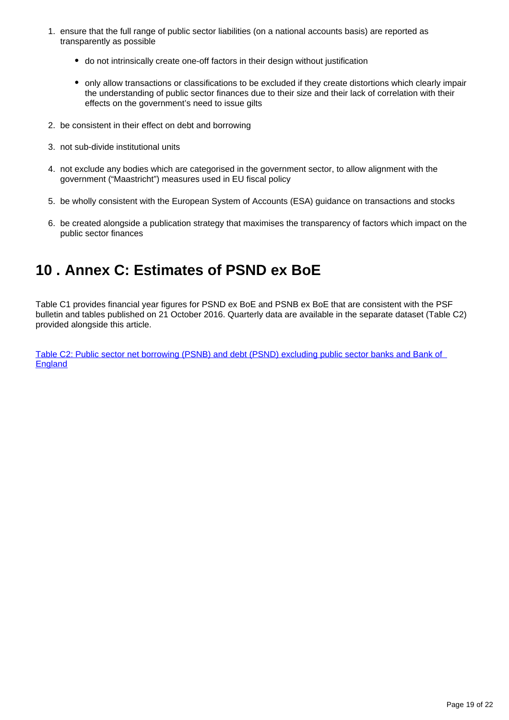- 1. ensure that the full range of public sector liabilities (on a national accounts basis) are reported as transparently as possible
	- do not intrinsically create one-off factors in their design without justification
	- only allow transactions or classifications to be excluded if they create distortions which clearly impair the understanding of public sector finances due to their size and their lack of correlation with their effects on the government's need to issue gilts
- 2. be consistent in their effect on debt and borrowing
- 3. not sub-divide institutional units
- 4. not exclude any bodies which are categorised in the government sector, to allow alignment with the government ("Maastricht") measures used in EU fiscal policy
- 5. be wholly consistent with the European System of Accounts (ESA) guidance on transactions and stocks
- 6. be created alongside a publication strategy that maximises the transparency of factors which impact on the public sector finances

## <span id="page-18-0"></span>**10 . Annex C: Estimates of PSND ex BoE**

Table C1 provides financial year figures for PSND ex BoE and PSNB ex BoE that are consistent with the PSF bulletin and tables published on 21 October 2016. Quarterly data are available in the separate dataset (Table C2) provided alongside this article.

[Table C2: Public sector net borrowing \(PSNB\) and debt \(PSND\) excluding public sector banks and Bank of](https://www.ons.gov.uk/economy/governmentpublicsectorandtaxes/publicsectorfinance/datasets/tablec2publicsectornetborrowingpsnbanddebtpsndexcludingpublicsectorbanksandbankofengland)  **[England](https://www.ons.gov.uk/economy/governmentpublicsectorandtaxes/publicsectorfinance/datasets/tablec2publicsectornetborrowingpsnbanddebtpsndexcludingpublicsectorbanksandbankofengland)**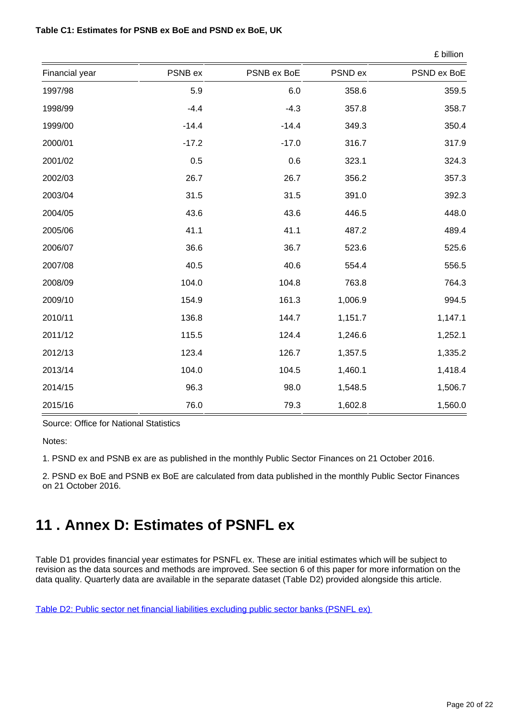#### **Table C1: Estimates for PSNB ex BoE and PSND ex BoE, UK**

|                |         |             |         | £ billion   |  |
|----------------|---------|-------------|---------|-------------|--|
| Financial year | PSNB ex | PSNB ex BoE | PSND ex | PSND ex BoE |  |
| 1997/98        | 5.9     | 6.0         | 358.6   | 359.5       |  |
| 1998/99        | $-4.4$  | $-4.3$      | 357.8   | 358.7       |  |
| 1999/00        | $-14.4$ | $-14.4$     | 349.3   | 350.4       |  |
| 2000/01        | $-17.2$ | $-17.0$     | 316.7   | 317.9       |  |
| 2001/02        | 0.5     | 0.6         | 323.1   | 324.3       |  |
| 2002/03        | 26.7    | 26.7        | 356.2   | 357.3       |  |
| 2003/04        | 31.5    | 31.5        | 391.0   | 392.3       |  |
| 2004/05        | 43.6    | 43.6        | 446.5   | 448.0       |  |
| 2005/06        | 41.1    | 41.1        | 487.2   | 489.4       |  |
| 2006/07        | 36.6    | 36.7        | 523.6   | 525.6       |  |
| 2007/08        | 40.5    | 40.6        | 554.4   | 556.5       |  |
| 2008/09        | 104.0   | 104.8       | 763.8   | 764.3       |  |
| 2009/10        | 154.9   | 161.3       | 1,006.9 | 994.5       |  |
| 2010/11        | 136.8   | 144.7       | 1,151.7 | 1,147.1     |  |
| 2011/12        | 115.5   | 124.4       | 1,246.6 | 1,252.1     |  |
| 2012/13        | 123.4   | 126.7       | 1,357.5 | 1,335.2     |  |
| 2013/14        | 104.0   | 104.5       | 1,460.1 | 1,418.4     |  |
| 2014/15        | 96.3    | 98.0        | 1,548.5 | 1,506.7     |  |
| 2015/16        | 76.0    | 79.3        | 1,602.8 | 1,560.0     |  |

Source: Office for National Statistics

Notes:

1. PSND ex and PSNB ex are as published in the monthly Public Sector Finances on 21 October 2016.

2. PSND ex BoE and PSNB ex BoE are calculated from data published in the monthly Public Sector Finances on 21 October 2016.

## <span id="page-19-0"></span>**11 . Annex D: Estimates of PSNFL ex**

Table D1 provides financial year estimates for PSNFL ex. These are initial estimates which will be subject to revision as the data sources and methods are improved. See section 6 of this paper for more information on the data quality. Quarterly data are available in the separate dataset (Table D2) provided alongside this article.

[Table D2: Public sector net financial liabilities excluding public sector banks \(PSNFL ex\)](https://www.ons.gov.uk/economy/governmentpublicsectorandtaxes/publicsectorfinance/datasets/tabled2publicsectornetfinancialliabilitiesexcludingpublicsectorbankspsnflex)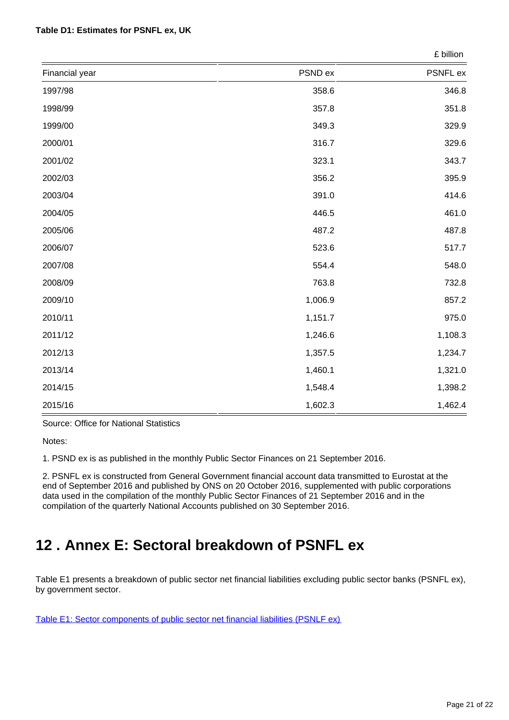#### **Table D1: Estimates for PSNFL ex, UK**

|                | £ billion |          |  |
|----------------|-----------|----------|--|
| Financial year | PSND ex   | PSNFL ex |  |
| 1997/98        | 358.6     | 346.8    |  |
| 1998/99        | 357.8     | 351.8    |  |
| 1999/00        | 349.3     | 329.9    |  |
| 2000/01        | 316.7     | 329.6    |  |
| 2001/02        | 323.1     | 343.7    |  |
| 2002/03        | 356.2     | 395.9    |  |
| 2003/04        | 391.0     | 414.6    |  |
| 2004/05        | 446.5     | 461.0    |  |
| 2005/06        | 487.2     | 487.8    |  |
| 2006/07        | 523.6     | 517.7    |  |
| 2007/08        | 554.4     | 548.0    |  |
| 2008/09        | 763.8     | 732.8    |  |
| 2009/10        | 1,006.9   | 857.2    |  |
| 2010/11        | 1,151.7   | 975.0    |  |
| 2011/12        | 1,246.6   | 1,108.3  |  |
| 2012/13        | 1,357.5   | 1,234.7  |  |
| 2013/14        | 1,460.1   | 1,321.0  |  |
| 2014/15        | 1,548.4   | 1,398.2  |  |
| 2015/16        | 1,602.3   | 1,462.4  |  |

Source: Office for National Statistics

Notes:

1. PSND ex is as published in the monthly Public Sector Finances on 21 September 2016.

2. PSNFL ex is constructed from General Government financial account data transmitted to Eurostat at the end of September 2016 and published by ONS on 20 October 2016, supplemented with public corporations data used in the compilation of the monthly Public Sector Finances of 21 September 2016 and in the compilation of the quarterly National Accounts published on 30 September 2016.

## <span id="page-20-0"></span>**12 . Annex E: Sectoral breakdown of PSNFL ex**

Table E1 presents a breakdown of public sector net financial liabilities excluding public sector banks (PSNFL ex), by government sector.

[Table E1: Sector components of public sector net financial liabilities \(PSNLF ex\)](https://www.ons.gov.uk/economy/governmentpublicsectorandtaxes/publicsectorfinance/datasets/tablee1sectorcomponentsofpublicsectornetfinancialliabilitiespsnlfex)